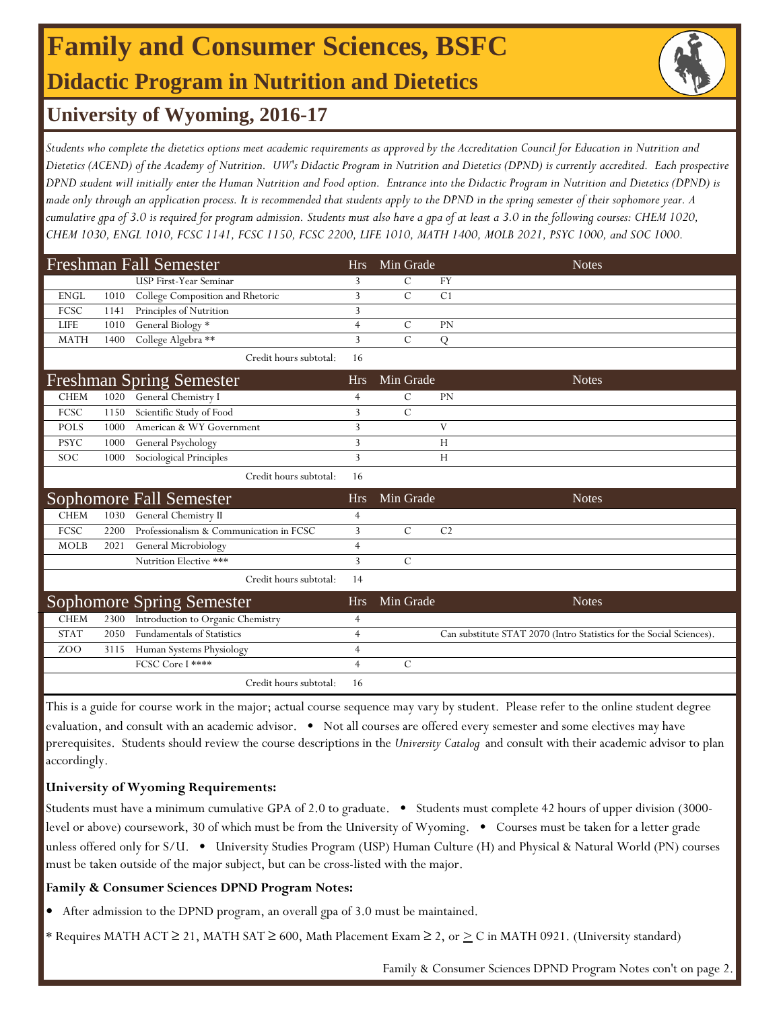## **Family and Consumer Sciences, BSFC Didactic Program in Nutrition and Dietetics**



### **University of Wyoming, 2016-17**

*Students who complete the dietetics options meet academic requirements as approved by the Accreditation Council for Education in Nutrition and Dietetics (ACEND) of the Academy of Nutrition. UW's Didactic Program in Nutrition and Dietetics (DPND) is currently accredited. Each prospective DPND student will initially enter the Human Nutrition and Food option. Entrance into the Didactic Program in Nutrition and Dietetics (DPND) is made only through an application process. It is recommended that students apply to the DPND in the spring semester of their sophomore year. A cumulative gpa of 3.0 is required for program admission. Students must also have a gpa of at least a 3.0 in the following courses: CHEM 1020, CHEM 1030, ENGL 1010, FCSC 1141, FCSC 1150, FCSC 2200, LIFE 1010, MATH 1400, MOLB 2021, PSYC 1000, and SOC 1000.* 

| <b>Freshman Fall Semester</b> |      |                                         |                | Min Grade      |                | <b>Notes</b>                                                         |
|-------------------------------|------|-----------------------------------------|----------------|----------------|----------------|----------------------------------------------------------------------|
|                               |      | USP First-Year Seminar                  | 3              | $\mathcal{C}$  | <b>FY</b>      |                                                                      |
| <b>ENGL</b>                   | 1010 | College Composition and Rhetoric        | 3              | $\mathcal{C}$  | C <sub>1</sub> |                                                                      |
| FCSC                          | 1141 | Principles of Nutrition                 | 3              |                |                |                                                                      |
| <b>LIFE</b>                   | 1010 | General Biology *                       | $\overline{4}$ | $\mathcal{C}$  | <b>PN</b>      |                                                                      |
| <b>MATH</b>                   | 1400 | College Algebra **                      | 3              | $\mathcal{C}$  | Q              |                                                                      |
|                               |      | Credit hours subtotal:                  | 16             |                |                |                                                                      |
|                               |      | <b>Freshman Spring Semester</b>         | <b>Hrs</b>     | Min Grade      |                | <b>Notes</b>                                                         |
| <b>CHEM</b>                   | 1020 | General Chemistry I                     | $\overline{4}$ | $\mathcal{C}$  | <b>PN</b>      |                                                                      |
| FCSC                          | 1150 | Scientific Study of Food                | 3              | $\overline{C}$ |                |                                                                      |
| <b>POLS</b>                   | 1000 | American & WY Government                | 3              |                | V              |                                                                      |
| <b>PSYC</b>                   | 1000 | General Psychology                      | 3              |                | H              |                                                                      |
| <b>SOC</b>                    | 1000 | Sociological Principles                 | 3              |                | H              |                                                                      |
|                               |      | Credit hours subtotal:                  | 16             |                |                |                                                                      |
|                               |      | Sophomore Fall Semester                 | <b>Hrs</b>     | Min Grade      |                | <b>Notes</b>                                                         |
| <b>CHEM</b>                   | 1030 | General Chemistry II                    | $\overline{4}$ |                |                |                                                                      |
| <b>FCSC</b>                   | 2200 | Professionalism & Communication in FCSC | 3              | $\mathcal{C}$  | C <sub>2</sub> |                                                                      |
| <b>MOLB</b>                   | 2021 | General Microbiology                    | 4              |                |                |                                                                      |
|                               |      | Nutrition Elective ***                  | 3              | $\mathcal{C}$  |                |                                                                      |
|                               |      | Credit hours subtotal:                  | 14             |                |                |                                                                      |
|                               |      | Sophomore Spring Semester               | <b>Hrs</b>     | Min Grade      |                | <b>Notes</b>                                                         |
| <b>CHEM</b>                   | 2300 | Introduction to Organic Chemistry       | 4              |                |                |                                                                      |
| <b>STAT</b>                   | 2050 | <b>Fundamentals of Statistics</b>       | $\overline{4}$ |                |                | Can substitute STAT 2070 (Intro Statistics for the Social Sciences). |
| ZOO                           | 3115 | Human Systems Physiology                | $\overline{4}$ |                |                |                                                                      |
|                               |      | FCSC Core I ****                        | $\overline{4}$ | $\mathcal{C}$  |                |                                                                      |
|                               |      | Credit hours subtotal:                  | 16             |                |                |                                                                      |

This is a guide for course work in the major; actual course sequence may vary by student. Please refer to the online student degree evaluation, and consult with an academic advisor. • Not all courses are offered every semester and some electives may have prerequisites. Students should review the course descriptions in the *University Catalog* and consult with their academic advisor to plan accordingly.

#### **University of Wyoming Requirements:**

Students must have a minimum cumulative GPA of 2.0 to graduate. • Students must complete 42 hours of upper division (3000 level or above) coursework, 30 of which must be from the University of Wyoming. • Courses must be taken for a letter grade unless offered only for S/U. • University Studies Program (USP) Human Culture (H) and Physical & Natural World (PN) courses must be taken outside of the major subject, but can be cross-listed with the major.

#### **Family & Consumer Sciences DPND Program Notes:**

- **•** After admission to the DPND program, an overall gpa of 3.0 must be maintained.
- \* Requires MATH ACT ≥ 21, MATH SAT ≥ 600, Math Placement Exam ≥ 2, or ≥ C in MATH 0921. (University standard)

Family & Consumer Sciences DPND Program Notes con't on page 2.